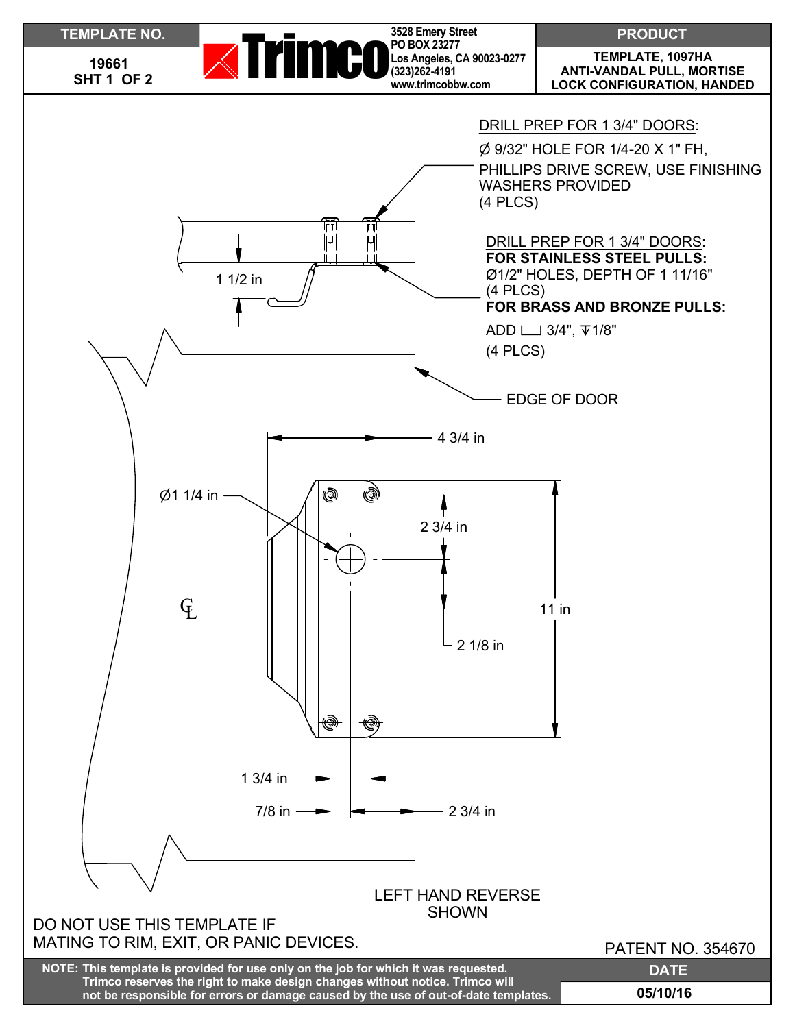